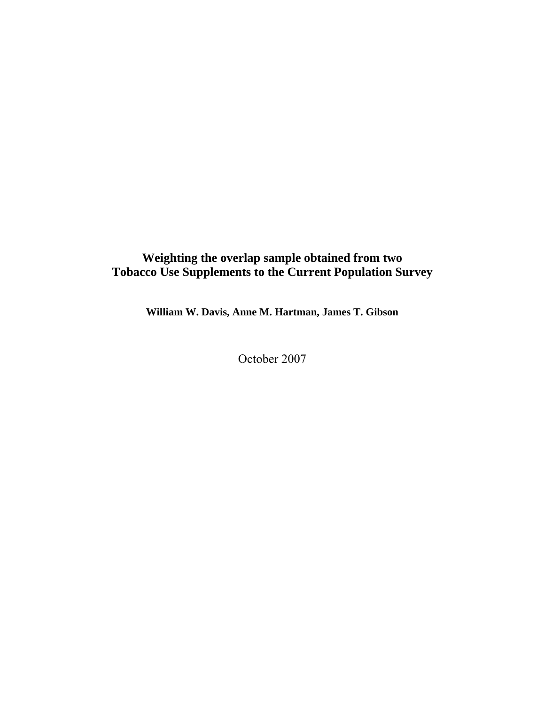# **Weighting the overlap sample obtained from two Tobacco Use Supplements to the Current Population Survey**

**William W. Davis, Anne M. Hartman, James T. Gibson** 

October 2007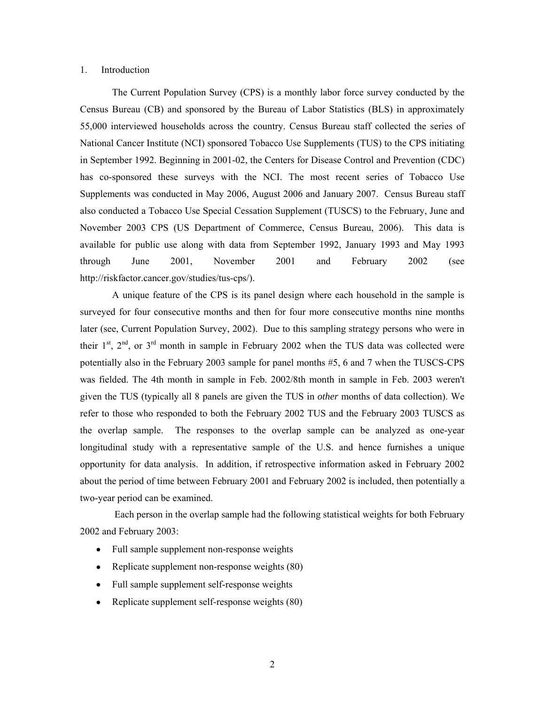#### 1. Introduction

The Current Population Survey (CPS) is a monthly labor force survey conducted by the Census Bureau (CB) and sponsored by the Bureau of Labor Statistics (BLS) in approximately 55,000 interviewed households across the country. Census Bureau staff collected the series of National Cancer Institute (NCI) sponsored Tobacco Use Supplements (TUS) to the CPS initiating in September 1992. Beginning in 2001-02, the Centers for Disease Control and Prevention (CDC) has co-sponsored these surveys with the NCI. The most recent series of Tobacco Use Supplements was conducted in May 2006, August 2006 and January 2007. Census Bureau staff also conducted a Tobacco Use Special Cessation Supplement (TUSCS) to the February, June and November 2003 CPS (US Department of Commerce, Census Bureau, 2006). This data is available for public use along with data from September 1992, January 1993 and May 1993 through June 2001, November 2001 and February 2002 (see http://riskfactor.cancer.gov/studies/tus-cps/).

A unique feature of the CPS is its panel design where each household in the sample is surveyed for four consecutive months and then for four more consecutive months nine months later (see, Current Population Survey, 2002). Due to this sampling strategy persons who were in their  $1^{st}$ ,  $2^{nd}$ , or  $3^{rd}$  month in sample in February 2002 when the TUS data was collected were potentially also in the February 2003 sample for panel months #5, 6 and 7 when the TUSCS-CPS was fielded. The 4th month in sample in Feb. 2002/8th month in sample in Feb. 2003 weren't given the TUS (typically all 8 panels are given the TUS in *other* months of data collection). We refer to those who responded to both the February 2002 TUS and the February 2003 TUSCS as the overlap sample. The responses to the overlap sample can be analyzed as one-year longitudinal study with a representative sample of the U.S. and hence furnishes a unique opportunity for data analysis. In addition, if retrospective information asked in February 2002 about the period of time between February 2001 and February 2002 is included, then potentially a two-year period can be examined.

 Each person in the overlap sample had the following statistical weights for both February 2002 and February 2003:

- Full sample supplement non-response weights
- Replicate supplement non-response weights (80)
- Full sample supplement self-response weights
- Replicate supplement self-response weights (80)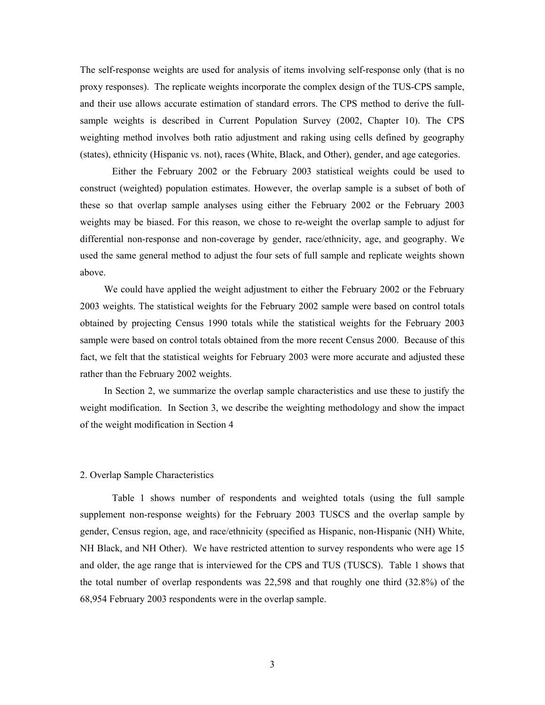The self-response weights are used for analysis of items involving self-response only (that is no proxy responses). The replicate weights incorporate the complex design of the TUS-CPS sample, and their use allows accurate estimation of standard errors. The CPS method to derive the fullsample weights is described in Current Population Survey (2002, Chapter 10). The CPS weighting method involves both ratio adjustment and raking using cells defined by geography (states), ethnicity (Hispanic vs. not), races (White, Black, and Other), gender, and age categories.

 Either the February 2002 or the February 2003 statistical weights could be used to construct (weighted) population estimates. However, the overlap sample is a subset of both of these so that overlap sample analyses using either the February 2002 or the February 2003 weights may be biased. For this reason, we chose to re-weight the overlap sample to adjust for differential non-response and non-coverage by gender, race/ethnicity, age, and geography. We used the same general method to adjust the four sets of full sample and replicate weights shown above.

We could have applied the weight adjustment to either the February 2002 or the February 2003 weights. The statistical weights for the February 2002 sample were based on control totals obtained by projecting Census 1990 totals while the statistical weights for the February 2003 sample were based on control totals obtained from the more recent Census 2000. Because of this fact, we felt that the statistical weights for February 2003 were more accurate and adjusted these rather than the February 2002 weights.

In Section 2, we summarize the overlap sample characteristics and use these to justify the weight modification. In Section 3, we describe the weighting methodology and show the impact of the weight modification in Section 4

### 2. Overlap Sample Characteristics

Table 1 shows number of respondents and weighted totals (using the full sample supplement non-response weights) for the February 2003 TUSCS and the overlap sample by gender, Census region, age, and race/ethnicity (specified as Hispanic, non-Hispanic (NH) White, NH Black, and NH Other). We have restricted attention to survey respondents who were age 15 and older, the age range that is interviewed for the CPS and TUS (TUSCS). Table 1 shows that the total number of overlap respondents was 22,598 and that roughly one third (32.8%) of the 68,954 February 2003 respondents were in the overlap sample.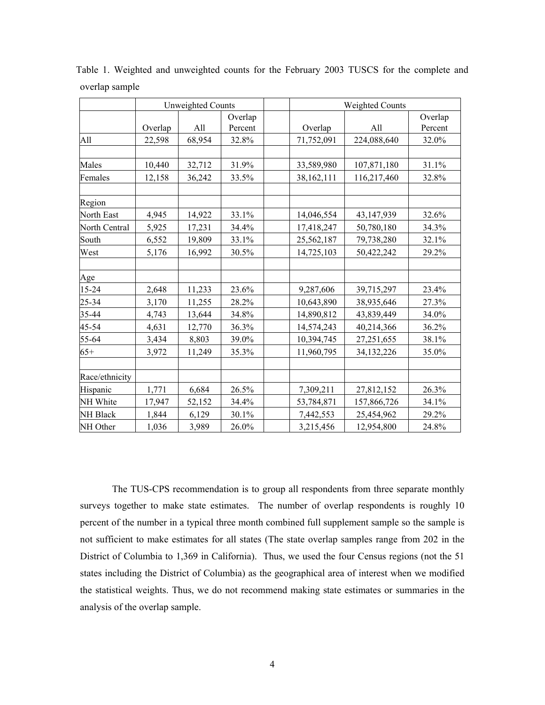|                 | Unweighted Counts |        |                    | <b>Weighted Counts</b> |            |             |                    |
|-----------------|-------------------|--------|--------------------|------------------------|------------|-------------|--------------------|
|                 | Overlap           | All    | Overlap<br>Percent |                        | Overlap    | All         | Overlap<br>Percent |
| All             | 22,598            | 68,954 | 32.8%              |                        | 71,752,091 | 224,088,640 | 32.0%              |
|                 |                   |        |                    |                        |            |             |                    |
| Males           | 10,440            | 32,712 | 31.9%              |                        | 33,589,980 | 107,871,180 | 31.1%              |
| Females         | 12,158            | 36,242 | 33.5%              |                        | 38,162,111 | 116,217,460 | 32.8%              |
| Region          |                   |        |                    |                        |            |             |                    |
| North East      | 4,945             | 14,922 | 33.1%              |                        | 14,046,554 | 43,147,939  | 32.6%              |
| North Central   | 5,925             | 17,231 | 34.4%              |                        | 17,418,247 | 50,780,180  | 34.3%              |
| South           | 6,552             | 19,809 | 33.1%              |                        | 25,562,187 | 79,738,280  | 32.1%              |
| West            | 5,176             | 16,992 | 30.5%              |                        | 14,725,103 | 50,422,242  | 29.2%              |
| Age             |                   |        |                    |                        |            |             |                    |
| 15-24           | 2,648             | 11,233 | 23.6%              |                        | 9,287,606  | 39,715,297  | 23.4%              |
| 25-34           | 3,170             | 11,255 | 28.2%              |                        | 10,643,890 | 38,935,646  | 27.3%              |
| 35-44           | 4,743             | 13,644 | 34.8%              |                        | 14,890,812 | 43,839,449  | 34.0%              |
| 45-54           | 4,631             | 12,770 | 36.3%              |                        | 14,574,243 | 40,214,366  | 36.2%              |
| 55-64           | 3,434             | 8,803  | 39.0%              |                        | 10,394,745 | 27,251,655  | 38.1%              |
| $65+$           | 3,972             | 11,249 | 35.3%              |                        | 11,960,795 | 34,132,226  | 35.0%              |
| Race/ethnicity  |                   |        |                    |                        |            |             |                    |
| Hispanic        | 1,771             | 6,684  | 26.5%              |                        | 7,309,211  | 27,812,152  | 26.3%              |
| NH White        | 17,947            | 52,152 | 34.4%              |                        | 53,784,871 | 157,866,726 | 34.1%              |
| <b>NH Black</b> | 1,844             | 6,129  | 30.1%              |                        | 7,442,553  | 25,454,962  | 29.2%              |
| NH Other        | 1,036             | 3,989  | 26.0%              |                        | 3,215,456  | 12,954,800  | 24.8%              |

Table 1. Weighted and unweighted counts for the February 2003 TUSCS for the complete and overlap sample

The TUS-CPS recommendation is to group all respondents from three separate monthly surveys together to make state estimates. The number of overlap respondents is roughly 10 percent of the number in a typical three month combined full supplement sample so the sample is not sufficient to make estimates for all states (The state overlap samples range from 202 in the District of Columbia to 1,369 in California). Thus, we used the four Census regions (not the 51 states including the District of Columbia) as the geographical area of interest when we modified the statistical weights. Thus, we do not recommend making state estimates or summaries in the analysis of the overlap sample.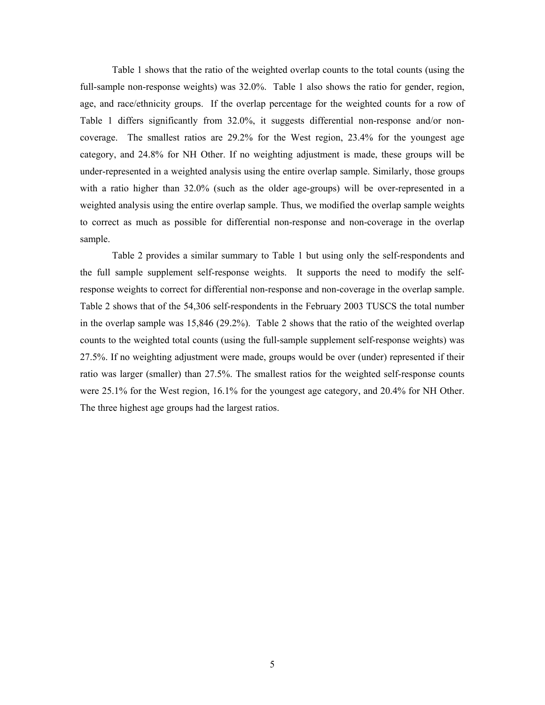Table 1 shows that the ratio of the weighted overlap counts to the total counts (using the full-sample non-response weights) was 32.0%. Table 1 also shows the ratio for gender, region, age, and race/ethnicity groups. If the overlap percentage for the weighted counts for a row of Table 1 differs significantly from 32.0%, it suggests differential non-response and/or noncoverage. The smallest ratios are 29.2% for the West region, 23.4% for the youngest age category, and 24.8% for NH Other. If no weighting adjustment is made, these groups will be under-represented in a weighted analysis using the entire overlap sample. Similarly, those groups with a ratio higher than 32.0% (such as the older age-groups) will be over-represented in a weighted analysis using the entire overlap sample. Thus, we modified the overlap sample weights to correct as much as possible for differential non-response and non-coverage in the overlap sample.

Table 2 provides a similar summary to Table 1 but using only the self-respondents and the full sample supplement self-response weights. It supports the need to modify the selfresponse weights to correct for differential non-response and non-coverage in the overlap sample. Table 2 shows that of the 54,306 self-respondents in the February 2003 TUSCS the total number in the overlap sample was 15,846 (29.2%). Table 2 shows that the ratio of the weighted overlap counts to the weighted total counts (using the full-sample supplement self-response weights) was 27.5%. If no weighting adjustment were made, groups would be over (under) represented if their ratio was larger (smaller) than 27.5%. The smallest ratios for the weighted self-response counts were 25.1% for the West region, 16.1% for the youngest age category, and 20.4% for NH Other. The three highest age groups had the largest ratios.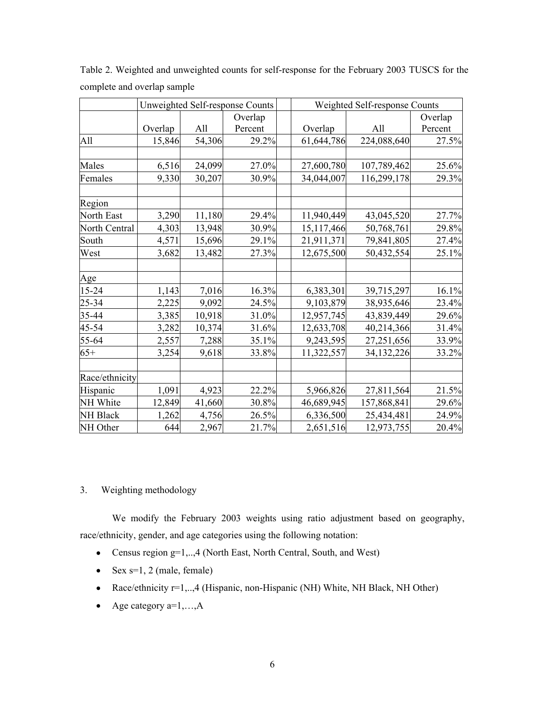|                 | Unweighted Self-response Counts |        |         |            | Weighted Self-response Counts |         |  |  |
|-----------------|---------------------------------|--------|---------|------------|-------------------------------|---------|--|--|
|                 |                                 |        | Overlap |            |                               | Overlap |  |  |
|                 | Overlap                         | All    | Percent | Overlap    | All                           | Percent |  |  |
| All             | 15,846                          | 54,306 | 29.2%   | 61,644,786 | 224,088,640                   | 27.5%   |  |  |
|                 |                                 |        |         |            |                               |         |  |  |
| Males           | 6,516                           | 24,099 | 27.0%   | 27,600,780 | 107,789,462                   | 25.6%   |  |  |
| Females         | 9,330                           | 30,207 | 30.9%   | 34,044,007 | 116,299,178                   | 29.3%   |  |  |
| Region          |                                 |        |         |            |                               |         |  |  |
| North East      | 3,290                           | 11,180 | 29.4%   | 11,940,449 | 43,045,520                    | 27.7%   |  |  |
| North Central   | 4,303                           | 13,948 | 30.9%   | 15,117,466 | 50,768,761                    | 29.8%   |  |  |
| South           | 4,571                           | 15,696 | 29.1%   | 21,911,371 | 79,841,805                    | 27.4%   |  |  |
| West            | 3,682                           | 13,482 | 27.3%   | 12,675,500 | 50,432,554                    | 25.1%   |  |  |
|                 |                                 |        |         |            |                               |         |  |  |
| Age             |                                 |        |         |            |                               |         |  |  |
| 15-24           | 1,143                           | 7,016  | 16.3%   | 6,383,301  | 39,715,297                    | 16.1%   |  |  |
| 25-34           | 2,225                           | 9,092  | 24.5%   | 9,103,879  | 38,935,646                    | 23.4%   |  |  |
| $35 - 44$       | 3,385                           | 10,918 | 31.0%   | 12,957,745 | 43,839,449                    | 29.6%   |  |  |
| 45-54           | 3,282                           | 10,374 | 31.6%   | 12,633,708 | 40,214,366                    | 31.4%   |  |  |
| 55-64           | 2,557                           | 7,288  | 35.1%   | 9,243,595  | 27,251,656                    | 33.9%   |  |  |
| $65+$           | 3,254                           | 9,618  | 33.8%   | 11,322,557 | 34,132,226                    | 33.2%   |  |  |
| Race/ethnicity  |                                 |        |         |            |                               |         |  |  |
| Hispanic        | 1,091                           | 4,923  | 22.2%   | 5,966,826  | 27,811,564                    | 21.5%   |  |  |
| NH White        | 12,849                          | 41,660 | 30.8%   | 46,689,945 | 157,868,841                   | 29.6%   |  |  |
| <b>NH Black</b> | 1,262                           | 4,756  | 26.5%   | 6,336,500  | 25,434,481                    | 24.9%   |  |  |
| NH Other        | 644                             | 2,967  | 21.7%   | 2,651,516  | 12,973,755                    | 20.4%   |  |  |

Table 2. Weighted and unweighted counts for self-response for the February 2003 TUSCS for the complete and overlap sample

## 3. Weighting methodology

We modify the February 2003 weights using ratio adjustment based on geography, race/ethnicity, gender, and age categories using the following notation:

- Census region g=1,..,4 (North East, North Central, South, and West)
- Sex  $s=1, 2$  (male, female)
- Race/ethnicity r=1,..,4 (Hispanic, non-Hispanic (NH) White, NH Black, NH Other)
- Age category  $a=1,...,A$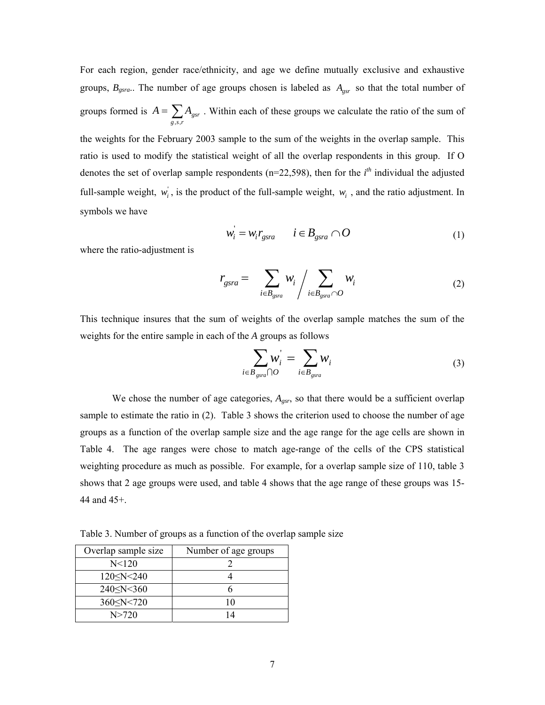For each region, gender race/ethnicity, and age we define mutually exclusive and exhaustive groups,  $B_{gsra}$ .. The number of age groups chosen is labeled as  $A_{gsr}$  so that the total number of groups formed is  $A = \sum_{g,s,r}$  $A = \sum A_{\tiny{gsr}}$ , s . Within each of these groups we calculate the ratio of the sum of the weights for the February 2003 sample to the sum of the weights in the overlap sample. This ratio is used to modify the statistical weight of all the overlap respondents in this group. If O denotes the set of overlap sample respondents ( $n=22,598$ ), then for the  $i<sup>th</sup>$  individual the adjusted full-sample weight,  $w_i$ , is the product of the full-sample weight,  $w_i$ , and the ratio adjustment. In symbols we have

$$
w_i = w_i r_{\text{gsra}} \qquad i \in B_{\text{gsra}} \cap O \tag{1}
$$

where the ratio-adjustment is

$$
r_{gsra} = \sum_{i \in B_{gsra}} w_i / \sum_{i \in B_{gsra} \cap O} w_i
$$
 (2)

This technique insures that the sum of weights of the overlap sample matches the sum of the weights for the entire sample in each of the *A* groups as follows

$$
\sum_{i \in B_{\text{gsra}} \cap O} w_i = \sum_{i \in B_{\text{gsra}}} w_i
$$
\n(3)

We chose the number of age categories,  $A_{gsr}$ , so that there would be a sufficient overlap sample to estimate the ratio in (2). Table 3 shows the criterion used to choose the number of age groups as a function of the overlap sample size and the age range for the age cells are shown in Table 4. The age ranges were chose to match age-range of the cells of the CPS statistical weighting procedure as much as possible. For example, for a overlap sample size of 110, table 3 shows that 2 age groups were used, and table 4 shows that the age range of these groups was 15- 44 and 45+.

Table 3. Number of groups as a function of the overlap sample size

| Overlap sample size | Number of age groups |
|---------------------|----------------------|
| N < 120             |                      |
| $120 \le N \le 240$ |                      |
| $240 \le N \le 360$ |                      |
| $360 \le N \le 720$ | 10                   |
| N>720               | 14                   |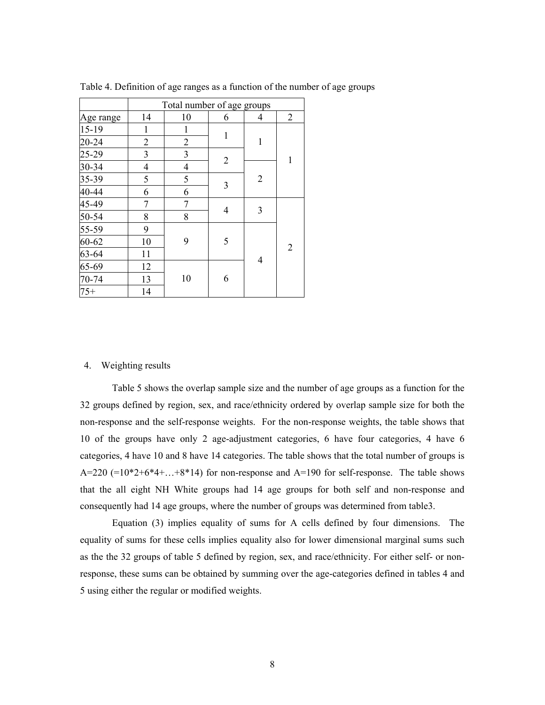|           | Total number of age groups |                |                |                |                |  |  |
|-----------|----------------------------|----------------|----------------|----------------|----------------|--|--|
| Age range | 14                         | 10             | 6              | 4              | $\overline{2}$ |  |  |
| 15-19     | 1                          | 1              | $\mathbf{1}$   |                |                |  |  |
| 20-24     | $\overline{2}$             | $\overline{2}$ |                | 1              |                |  |  |
| 25-29     | $\mathfrak{Z}$             | 3              | $\overline{2}$ |                |                |  |  |
| 30-34     | $\overline{4}$             | $\overline{4}$ |                |                | 1              |  |  |
| 35-39     | 5                          | 5              | 3              | $\overline{2}$ |                |  |  |
| 40-44     | 6                          | 6              |                |                |                |  |  |
| 45-49     | 7                          | 7              | 4              | 3              |                |  |  |
| 50-54     | 8                          | 8              |                |                |                |  |  |
| 55-59     | 9                          |                |                |                |                |  |  |
| $60 - 62$ | 10                         | 9              | 5              |                |                |  |  |
| 63-64     | 11                         |                |                |                | $\overline{2}$ |  |  |
| 65-69     | 12                         |                |                | 4              |                |  |  |
| 70-74     | 13                         | 10             | 6              |                |                |  |  |
| $75+$     | 14                         |                |                |                |                |  |  |

Table 4. Definition of age ranges as a function of the number of age groups

#### 4. Weighting results

 Table 5 shows the overlap sample size and the number of age groups as a function for the 32 groups defined by region, sex, and race/ethnicity ordered by overlap sample size for both the non-response and the self-response weights. For the non-response weights, the table shows that 10 of the groups have only 2 age-adjustment categories, 6 have four categories, 4 have 6 categories, 4 have 10 and 8 have 14 categories. The table shows that the total number of groups is A=220  $(=10*2+6*4+...+8*14)$  for non-response and A=190 for self-response. The table shows that the all eight NH White groups had 14 age groups for both self and non-response and consequently had 14 age groups, where the number of groups was determined from table3.

Equation (3) implies equality of sums for A cells defined by four dimensions. The equality of sums for these cells implies equality also for lower dimensional marginal sums such as the the 32 groups of table 5 defined by region, sex, and race/ethnicity. For either self- or nonresponse, these sums can be obtained by summing over the age-categories defined in tables 4 and 5 using either the regular or modified weights.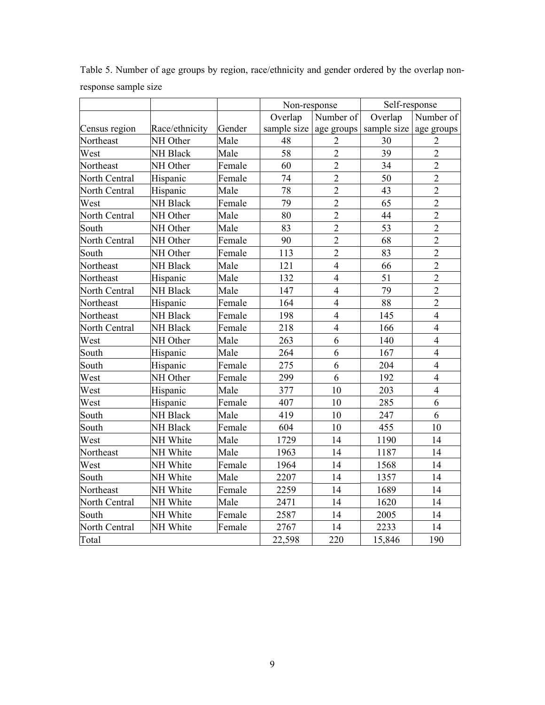|               |                 |        | Non-response             |                | Self-response |                         |
|---------------|-----------------|--------|--------------------------|----------------|---------------|-------------------------|
|               |                 |        | Overlap                  | Number of      | Overlap       | Number of               |
| Census region | Race/ethnicity  | Gender | sample size   age groups |                | sample size   | age groups              |
| Northeast     | NH Other        | Male   | 48                       | $\overline{2}$ | 30            | 2                       |
| West          | NH Black        | Male   | 58                       | $\overline{2}$ | 39            | $\overline{2}$          |
| Northeast     | NH Other        | Female | 60                       | $\overline{2}$ | 34            | $\overline{2}$          |
| North Central | Hispanic        | Female | 74                       | $\overline{2}$ | 50            | $\overline{2}$          |
| North Central | Hispanic        | Male   | 78                       | $\overline{2}$ | 43            | $\overline{2}$          |
| West          | NH Black        | Female | 79                       | $\overline{2}$ | 65            | $\overline{2}$          |
| North Central | NH Other        | Male   | 80                       | $\overline{2}$ | 44            | $\overline{2}$          |
| South         | NH Other        | Male   | 83                       | $\overline{2}$ | 53            | $\overline{2}$          |
| North Central | NH Other        | Female | 90                       | $\overline{2}$ | 68            | $\overline{2}$          |
| South         | NH Other        | Female | 113                      | $\overline{2}$ | 83            | $\overline{2}$          |
| Northeast     | <b>NH Black</b> | Male   | 121                      | $\overline{4}$ | 66            | $\overline{2}$          |
| Northeast     | Hispanic        | Male   | 132                      | $\overline{4}$ | 51            | $\overline{2}$          |
| North Central | <b>NH Black</b> | Male   | 147                      | $\overline{4}$ | 79            | $\overline{2}$          |
| Northeast     | Hispanic        | Female | 164                      | $\overline{4}$ | 88            | $\overline{2}$          |
| Northeast     | <b>NH Black</b> | Female | 198                      | $\overline{4}$ | 145           | $\overline{\mathbf{4}}$ |
| North Central | NH Black        | Female | 218                      | $\overline{4}$ | 166           | $\overline{4}$          |
| West          | NH Other        | Male   | 263                      | 6              | 140           | $\overline{4}$          |
| South         | Hispanic        | Male   | 264                      | 6              | 167           | $\overline{4}$          |
| South         | Hispanic        | Female | 275                      | 6              | 204           | $\overline{4}$          |
| West          | NH Other        | Female | 299                      | 6              | 192           | $\overline{4}$          |
| West          | Hispanic        | Male   | 377                      | 10             | 203           | $\overline{4}$          |
| West          | Hispanic        | Female | 407                      | 10             | 285           | 6                       |
| South         | <b>NH Black</b> | Male   | 419                      | 10             | 247           | 6                       |
| South         | NH Black        | Female | 604                      | 10             | 455           | 10                      |
| West          | NH White        | Male   | 1729                     | 14             | 1190          | 14                      |
| Northeast     | NH White        | Male   | 1963                     | 14             | 1187          | 14                      |
| West          | NH White        | Female | 1964                     | 14             | 1568          | 14                      |
| South         | NH White        | Male   | 2207                     | 14             | 1357          | 14                      |
| Northeast     | NH White        | Female | 2259                     | 14             | 1689          | 14                      |
| North Central | NH White        | Male   | 2471                     | 14             | 1620          | 14                      |
| South         | NH White        | Female | 2587                     | 14             | 2005          | 14                      |
| North Central | NH White        | Female | 2767                     | 14             | 2233          | 14                      |
| Total         |                 |        | 22,598                   | 220            | 15,846        | 190                     |

Table 5. Number of age groups by region, race/ethnicity and gender ordered by the overlap nonresponse sample size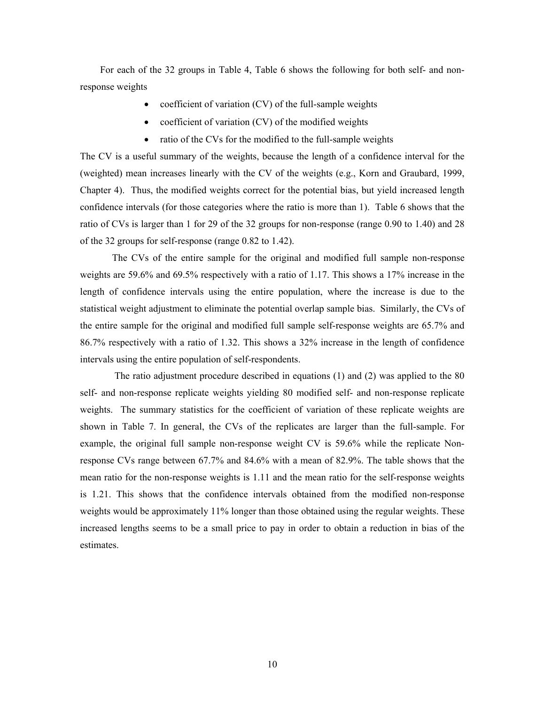For each of the 32 groups in Table 4, Table 6 shows the following for both self- and nonresponse weights

- coefficient of variation (CV) of the full-sample weights
- coefficient of variation (CV) of the modified weights
- ratio of the CVs for the modified to the full-sample weights

The CV is a useful summary of the weights, because the length of a confidence interval for the (weighted) mean increases linearly with the CV of the weights (e.g., Korn and Graubard, 1999, Chapter 4). Thus, the modified weights correct for the potential bias, but yield increased length confidence intervals (for those categories where the ratio is more than 1). Table 6 shows that the ratio of CVs is larger than 1 for 29 of the 32 groups for non-response (range 0.90 to 1.40) and 28 of the 32 groups for self-response (range 0.82 to 1.42).

The CVs of the entire sample for the original and modified full sample non-response weights are 59.6% and 69.5% respectively with a ratio of 1.17. This shows a 17% increase in the length of confidence intervals using the entire population, where the increase is due to the statistical weight adjustment to eliminate the potential overlap sample bias. Similarly, the CVs of the entire sample for the original and modified full sample self-response weights are 65.7% and 86.7% respectively with a ratio of 1.32. This shows a 32% increase in the length of confidence intervals using the entire population of self-respondents.

 The ratio adjustment procedure described in equations (1) and (2) was applied to the 80 self- and non-response replicate weights yielding 80 modified self- and non-response replicate weights. The summary statistics for the coefficient of variation of these replicate weights are shown in Table 7. In general, the CVs of the replicates are larger than the full-sample. For example, the original full sample non-response weight CV is 59.6% while the replicate Nonresponse CVs range between 67.7% and 84.6% with a mean of 82.9%. The table shows that the mean ratio for the non-response weights is 1.11 and the mean ratio for the self-response weights is 1.21. This shows that the confidence intervals obtained from the modified non-response weights would be approximately 11% longer than those obtained using the regular weights. These increased lengths seems to be a small price to pay in order to obtain a reduction in bias of the estimates.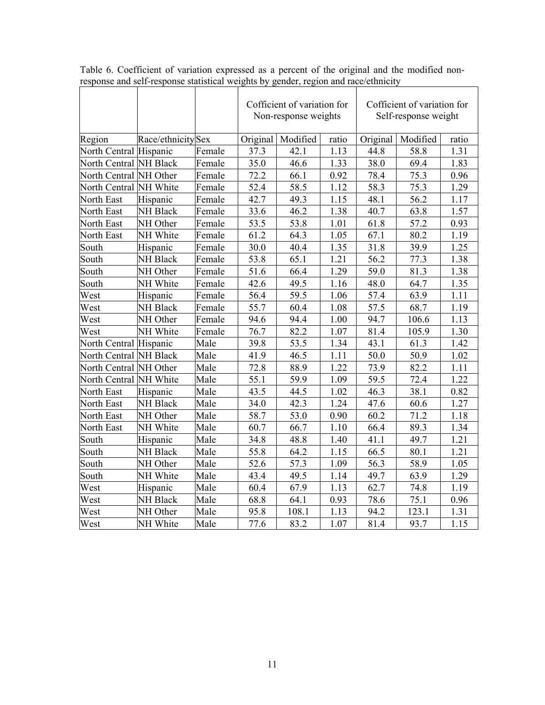|                        |                    |        | Cofficient of variation for<br>Non-response weights |          | Cofficient of variation for<br>Self-response weight |          |          |       |
|------------------------|--------------------|--------|-----------------------------------------------------|----------|-----------------------------------------------------|----------|----------|-------|
| Region                 | Race/ethnicity Sex |        | Original                                            | Modified | ratio                                               | Original | Modified | ratio |
| North Central Hispanic |                    | Female | 37.3                                                | 42.1     | 1.13                                                | 44.8     | 58.8     | 1.31  |
| North Central NH Black |                    | Female | 35.0                                                | 46.6     | 1.33                                                | 38.0     | 69.4     | 1.83  |
| North Central NH Other |                    | Female | 72.2                                                | 66.1     | 0.92                                                | 78.4     | 75.3     | 0.96  |
| North Central NH White |                    | Female | 52.4                                                | 58.5     | 1.12                                                | 58.3     | 75.3     | 1.29  |
| North East             | Hispanic           | Female | 42.7                                                | 49.3     | 1.15                                                | 48.1     | 56.2     | 1.17  |
| North East             | <b>NH Black</b>    | Female | 33.6                                                | 46.2     | 1.38                                                | 40.7     | 63.8     | 1.57  |
| North East             | NH Other           | Female | 53.5                                                | 53.8     | 1.01                                                | 61.8     | 57.2     | 0.93  |
| North East             | NH White           | Female | 61.2                                                | 64.3     | 1.05                                                | 67.1     | 80.2     | 1.19  |
| South                  | Hispanic           | Female | 30.0                                                | 40.4     | 1.35                                                | 31.8     | 39.9     | 1.25  |
| South                  | <b>NH Black</b>    | Female | 53.8                                                | 65.1     | 1.21                                                | 56.2     | 77.3     | 1.38  |
| South                  | NH Other           | Female | 51.6                                                | 66.4     | 1.29                                                | 59.0     | 81.3     | 1.38  |
| South                  | NH White           | Female | 42.6                                                | 49.5     | 1.16                                                | 48.0     | 64.7     | 1.35  |
| West                   | Hispanic           | Female | 56.4                                                | 59.5     | 1.06                                                | 57.4     | 63.9     | 1.11  |
| West                   | NH Black           | Female | 55.7                                                | 60.4     | 1.08                                                | 57.5     | 68.7     | 1.19  |
| West                   | NH Other           | Female | 94.6                                                | 94.4     | 1.00                                                | 94.7     | 106.6    | 1.13  |
| West                   | NH White           | Female | 76.7                                                | 82.2     | 1.07                                                | 81.4     | 105.9    | 1.30  |
| North Central Hispanic |                    | Male   | 39.8                                                | 53.5     | 1.34                                                | 43.1     | 61.3     | 1.42  |
| North Central NH Black |                    | Male   | 41.9                                                | 46.5     | 1.11                                                | 50.0     | 50.9     | 1.02  |
| North Central NH Other |                    | Male   | 72.8                                                | 88.9     | 1.22                                                | 73.9     | 82.2     | 1.11  |
| North Central NH White |                    | Male   | 55.1                                                | 59.9     | 1.09                                                | 59.5     | 72.4     | 1.22  |
| North East             | Hispanic           | Male   | 43.5                                                | 44.5     | 1.02                                                | 46.3     | 38.1     | 0.82  |
| North East             | <b>NH Black</b>    | Male   | 34.0                                                | 42.3     | 1.24                                                | 47.6     | 60.6     | 1.27  |
| North East             | NH Other           | Male   | 58.7                                                | 53.0     | 0.90                                                | 60.2     | 71.2     | 1.18  |
| North East             | NH White           | Male   | 60.7                                                | 66.7     | 1.10                                                | 66.4     | 89.3     | 1.34  |
| South                  | Hispanic           | Male   | 34.8                                                | 48.8     | 1.40                                                | 41.1     | 49.7     | 1.21  |
| South                  | <b>NH Black</b>    | Male   | 55.8                                                | 64.2     | 1.15                                                | 66.5     | 80.1     | 1.21  |
| South                  | NH Other           | Male   | 52.6                                                | 57.3     | 1.09                                                | 56.3     | 58.9     | 1.05  |
| South                  | NH White           | Male   | 43.4                                                | 49.5     | 1.14                                                | 49.7     | 63.9     | 1.29  |
| West                   | Hispanic           | Male   | 60.4                                                | 67.9     | 1.13                                                | 62.7     | 74.8     | 1.19  |
| West                   | NH Black           | Male   | 68.8                                                | 64.1     | 0.93                                                | 78.6     | 75.1     | 0.96  |
| West                   | NH Other           | Male   | 95.8                                                | 108.1    | 1.13                                                | 94.2     | 123.1    | 1.31  |
| West                   | NH White           | Male   | 77.6                                                | 83.2     | 1.07                                                | 81.4     | 93.7     | 1.15  |

Table 6. Coefficient of variation expressed as a percent of the original and the modified nonresponse and self-response statistical weights by gender, region and race/ethnicity